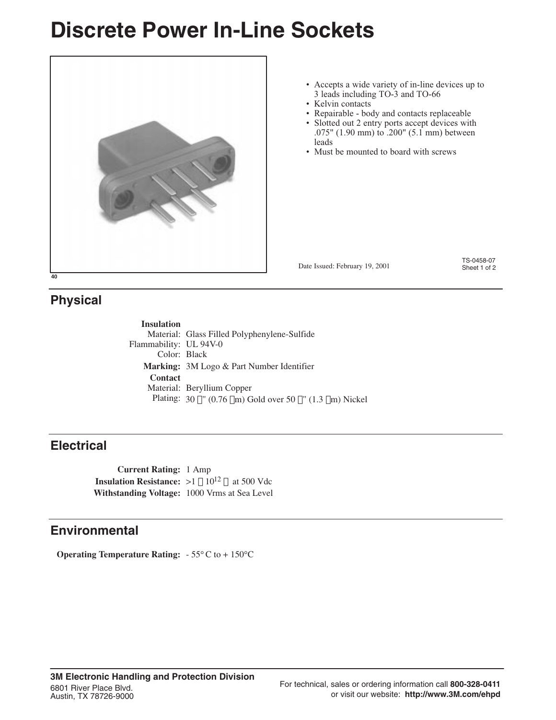## **Discrete Power In-Line Sockets**



#### • Accepts a wide variety of in-line devices up to 3 leads including TO-3 and TO-66

- Kelvin contacts
- Repairable body and contacts replaceable
- Slotted out 2 entry ports accept devices with .075" (1.90 mm) to .200" (5.1 mm) between leads
- Must be mounted to board with screws

Date Issued: February 19, 2001

TS-0458-07<br>Sheet 1 of 2

### **Physical**

**Insulation** Material: Glass Filled Polyphenylene-Sulfide Flammability: UL 94V-0 Color: Black **Marking:** 3M Logo & Part Number Identifier **Contact** Material: Beryllium Copper Plating:  $30 \mu$ " (0.76  $\mu$ m) Gold over 50  $\mu$ " (1.3  $\mu$ m) Nickel

#### **Electrical**

**Current Rating:** 1 Amp **Insulation Resistance:**  $>1 \times 10^{12}$  Q at 500 Vdc **Withstanding Voltage:** 1000 Vrms at Sea Level

#### **Environmental**

**Operating Temperature Rating:** - 55°C to + 150°C